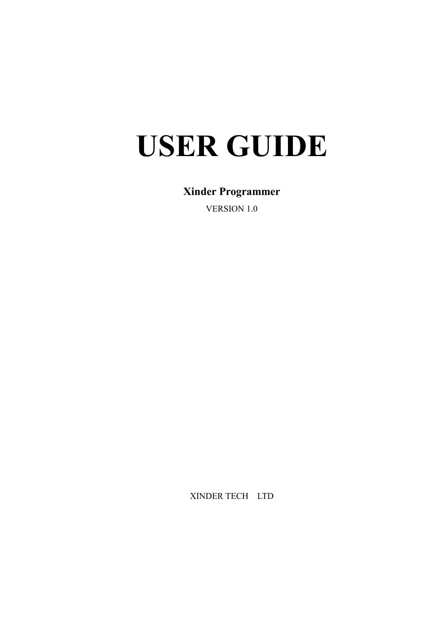# **USER GUIDE**

# **Xinder Programmer**

VERSION 1.0

XINDER TECH LTD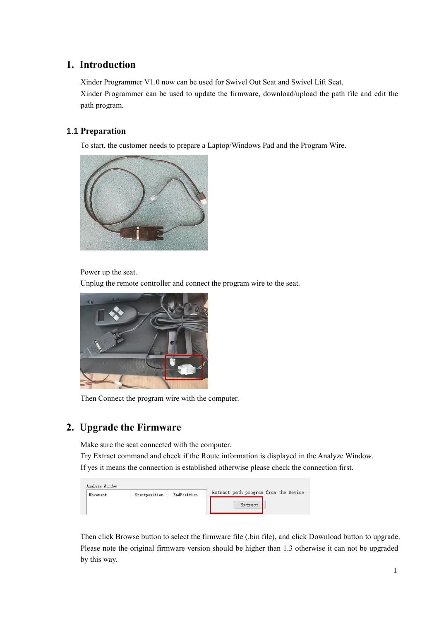# **1. Introduction**

Xinder Programmer V1.0 now can be used for Swivel Out Seat and Swivel Lift Seat. Xinder Programmer can be used to update the firmware, download/upload the path file and edit the path program.

#### **1.1 Preparation**

To start, the customer needs to prepare a Laptop/Windows Pad and the Program Wire.



Power up the seat.

Unplug the remote controller and connect the program wire to the seat.



Then Connect the program wire with the computer.

# **2. Upgrade the Firmware**

Make sure the seat connected with the computer.

Try Extract command and check if the Route information is displayed in the Analyze Window. If yes it means the connection is established otherwise please check the connection first.

| Analyze Window |               |             |                                      |
|----------------|---------------|-------------|--------------------------------------|
| Movement       | Startposition | EndPosition | Extract path program from the Device |
|                |               |             | Extract                              |

Then click Browse button to select the firmware file (.bin file), and click Download button to upgrade.<br>Please note the original firmware version should be higher than 1.3 otherwise it can not be upgraded by this way.